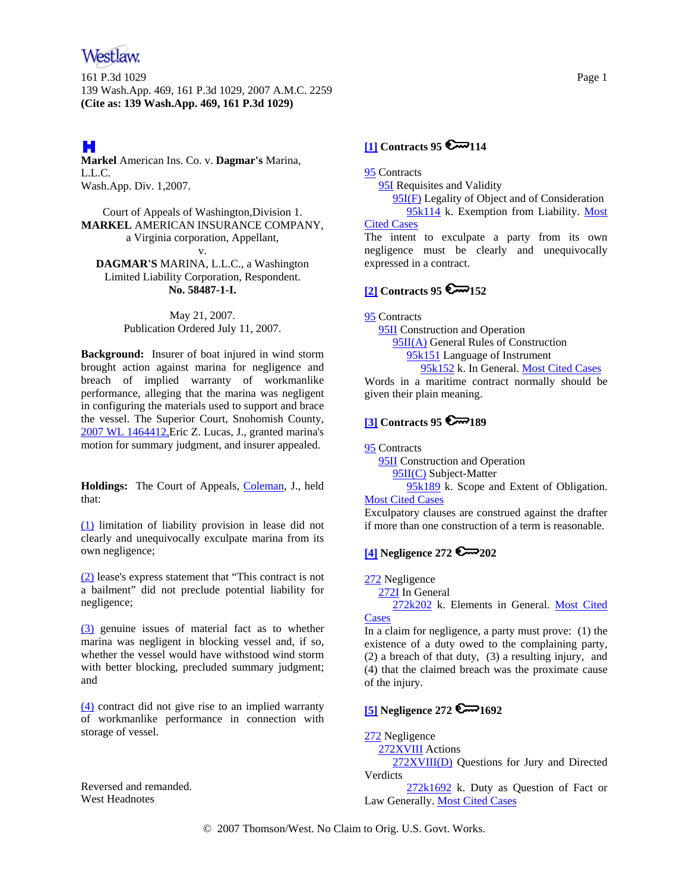# Westlaw

161 P.3d 1029 Page 1 139 Wash.App. 469, 161 P.3d 1029, 2007 A.M.C. 2259 **(Cite as: 139 Wash.App. 469, 161 P.3d 1029)**

# H

**Markel** American Ins. Co. v. **Dagmar's** Marina, L.L.C. Wash.App. Div. 1,2007.

Court of Appeals of Washington,Division 1. **MARKEL** AMERICAN INSURANCE COMPANY, a Virginia corporation, Appellant, v.

**DAGMAR'S** MARINA, L.L.C., a Washington Limited Liability Corporation, Respondent. **No. 58487-1-I.**

> May 21, 2007. Publication Ordered July 11, 2007.

**Background:** Insurer of boat injured in wind storm brought action against marina for negligence and breach of implied warranty of workmanlike performance, alleging that the marina was negligent in configuring the materials used to support and brace the vessel. The Superior Court, Snohomish County, 2007 WL 1464412,Eric Z. Lucas, J., granted marina's motion for summary judgment, and insurer appealed.

**Holdings:** The Court of Appeals, Coleman, J., held that:

(1) limitation of liability provision in lease did not clearly and unequivocally exculpate marina from its own negligence;

(2) lease's express statement that "This contract is not a bailment" did not preclude potential liability for negligence;

(3) genuine issues of material fact as to whether marina was negligent in blocking vessel and, if so, whether the vessel would have withstood wind storm with better blocking, precluded summary judgment; and

(4) contract did not give rise to an implied warranty of workmanlike performance in connection with storage of vessel.

Reversed and remanded. West Headnotes

### **[1] Contracts 95 @**114

95 Contracts

**95I** Requisites and Validity

95I(F) Legality of Object and of Consideration

 95k114 k. Exemption from Liability. Most Cited Cases

The intent to exculpate a party from its own negligence must be clearly and unequivocally expressed in a contract.

## **[2] Contracts 95 6 152**

95 Contracts

95II Construction and Operation

95II(A) General Rules of Construction

 95k151 Language of Instrument 95k152 k. In General. Most Cited Cases

Words in a maritime contract normally should be given their plain meaning.

## **[3] Contracts 95 6 189**

95 Contracts

**95II** Construction and Operation 95II(C) Subject-Matter

95k189 k. Scope and Extent of Obligation.

#### **Most Cited Cases**

Exculpatory clauses are construed against the drafter if more than one construction of a term is reasonable.

## **[4] Negligence 272 202**

272 Negligence

272I In General

 272k202 k. Elements in General. Most Cited **Cases** 

In a claim for negligence, a party must prove: (1) the existence of a duty owed to the complaining party, (2) a breach of that duty, (3) a resulting injury, and (4) that the claimed breach was the proximate cause of the injury.

### **[5] Negligence 272**  $\mathbb{Z}$  $\mathbb{Z}$  $1692$

272 Negligence

272XVIII Actions

 272XVIII(D) Questions for Jury and Directed Verdicts

 272k1692 k. Duty as Question of Fact or Law Generally. Most Cited Cases

© 2007 Thomson/West. No Claim to Orig. U.S. Govt. Works.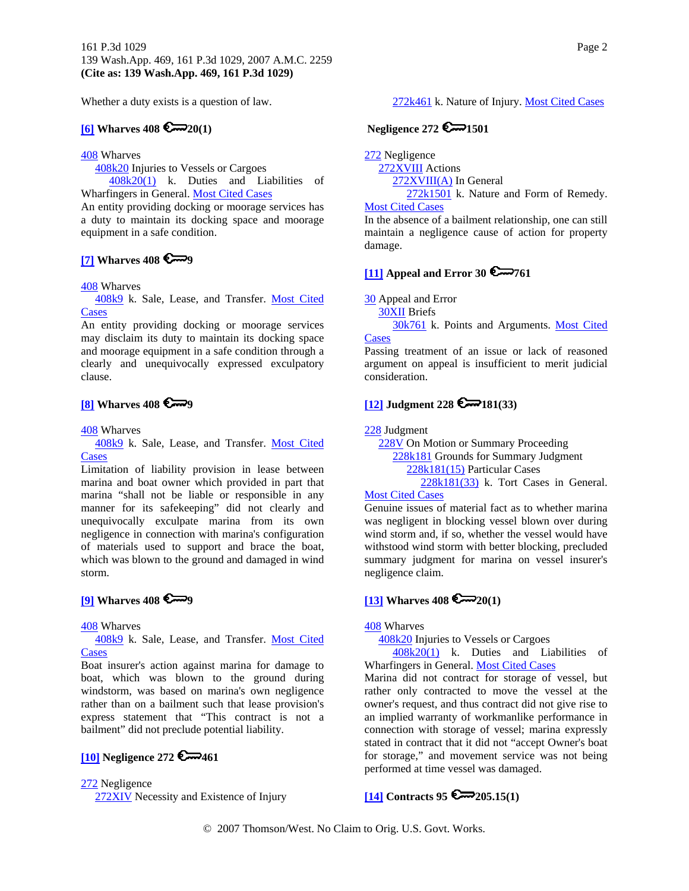Whether a duty exists is a question of law.

### **[6] Wharves 408**  $\sum_{n=20(1)}$

408 Wharves

408k20 Injuries to Vessels or Cargoes

 408k20(1) k. Duties and Liabilities of Wharfingers in General. Most Cited Cases

An entity providing docking or moorage services has a duty to maintain its docking space and moorage equipment in a safe condition.

### **[7] Wharves 408 9**

408 Wharves

 408k9 k. Sale, Lease, and Transfer. Most Cited **Cases** 

An entity providing docking or moorage services may disclaim its duty to maintain its docking space and moorage equipment in a safe condition through a clearly and unequivocally expressed exculpatory clause.

## **[8]** Wharves 408

408 Wharves

 408k9 k. Sale, Lease, and Transfer. Most Cited **Cases** 

Limitation of liability provision in lease between marina and boat owner which provided in part that marina "shall not be liable or responsible in any manner for its safekeeping" did not clearly and unequivocally exculpate marina from its own negligence in connection with marina's configuration of materials used to support and brace the boat, which was blown to the ground and damaged in wind storm.

## **[9] Wharves 408 9**

408 Wharves

 408k9 k. Sale, Lease, and Transfer. Most Cited **Cases** 

Boat insurer's action against marina for damage to boat, which was blown to the ground during windstorm, was based on marina's own negligence rather than on a bailment such that lease provision's express statement that "This contract is not a bailment" did not preclude potential liability.

## **[10] Negligence 272 6 461**

272 Negligence

272XIV Necessity and Existence of Injury

272k461 k. Nature of Injury. Most Cited Cases

### **Negligence 272 6 1501**

272 Negligence

272XVIII Actions

272XVIII(A) In General

272k1501 k. Nature and Form of Remedy.

#### Most Cited Cases

In the absence of a bailment relationship, one can still maintain a negligence cause of action for property damage.

# **[11] Appeal and Error 30 6 761**

30 Appeal and Error

30XII Briefs

30k761 k. Points and Arguments. Most Cited **Cases** 

Passing treatment of an issue or lack of reasoned argument on appeal is insufficient to merit judicial consideration.

#### $[12]$  Judgment 228  $\sim 181(33)$

228 Judgment

228V On Motion or Summary Proceeding 228k181 Grounds for Summary Judgment 228k181(15) Particular Cases 228k181(33) k. Tort Cases in General.

#### Most Cited Cases

Genuine issues of material fact as to whether marina was negligent in blocking vessel blown over during wind storm and, if so, whether the vessel would have withstood wind storm with better blocking, precluded summary judgment for marina on vessel insurer's negligence claim.

#### **[13] Wharves 408**  $\sum_{0}^{8}$

408 Wharves

408k20 Injuries to Vessels or Cargoes

 408k20(1) k. Duties and Liabilities of Wharfingers in General. Most Cited Cases

Marina did not contract for storage of vessel, but rather only contracted to move the vessel at the owner's request, and thus contract did not give rise to an implied warranty of workmanlike performance in connection with storage of vessel; marina expressly stated in contract that it did not "accept Owner's boat for storage," and movement service was not being performed at time vessel was damaged.

**[14] Contracts 95 205.15(1)**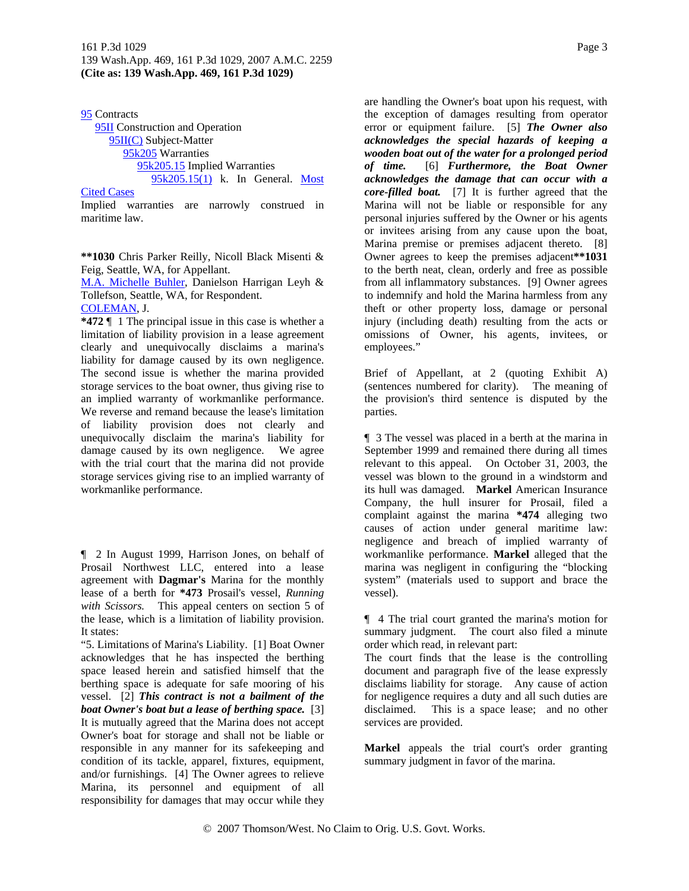95 Contracts 95II Construction and Operation 95II(C) Subject-Matter 95k205 Warranties 95k205.15 Implied Warranties 95k205.15(1) k. In General. Most

#### Cited Cases

Implied warranties are narrowly construed in maritime law.

**\*\*1030** Chris Parker Reilly, Nicoll Black Misenti & Feig, Seattle, WA, for Appellant.

M.A. Michelle Buhler, Danielson Harrigan Leyh & Tollefson, Seattle, WA, for Respondent.

COLEMAN, J.

**\*472** ¶ 1 The principal issue in this case is whether a limitation of liability provision in a lease agreement clearly and unequivocally disclaims a marina's liability for damage caused by its own negligence. The second issue is whether the marina provided storage services to the boat owner, thus giving rise to an implied warranty of workmanlike performance. We reverse and remand because the lease's limitation of liability provision does not clearly and unequivocally disclaim the marina's liability for damage caused by its own negligence. We agree with the trial court that the marina did not provide storage services giving rise to an implied warranty of workmanlike performance.

¶ 2 In August 1999, Harrison Jones, on behalf of Prosail Northwest LLC, entered into a lease agreement with **Dagmar's** Marina for the monthly lease of a berth for **\*473** Prosail's vessel, *Running with Scissors.* This appeal centers on section 5 of the lease, which is a limitation of liability provision. It states:

"5. Limitations of Marina's Liability. [1] Boat Owner acknowledges that he has inspected the berthing space leased herein and satisfied himself that the berthing space is adequate for safe mooring of his vessel. [2] *This contract is not a bailment of the boat Owner's boat but a lease of berthing space.* [3] It is mutually agreed that the Marina does not accept Owner's boat for storage and shall not be liable or responsible in any manner for its safekeeping and condition of its tackle, apparel, fixtures, equipment, and/or furnishings. [4] The Owner agrees to relieve Marina, its personnel and equipment of all responsibility for damages that may occur while they

are handling the Owner's boat upon his request, with the exception of damages resulting from operator error or equipment failure. [5] *The Owner also acknowledges the special hazards of keeping a wooden boat out of the water for a prolonged period of time.* [6] *Furthermore, the Boat Owner acknowledges the damage that can occur with a core-filled boat.* [7] It is further agreed that the Marina will not be liable or responsible for any personal injuries suffered by the Owner or his agents or invitees arising from any cause upon the boat, Marina premise or premises adjacent thereto. [8] Owner agrees to keep the premises adjacent**\*\*1031** to the berth neat, clean, orderly and free as possible from all inflammatory substances. [9] Owner agrees to indemnify and hold the Marina harmless from any theft or other property loss, damage or personal injury (including death) resulting from the acts or omissions of Owner, his agents, invitees, or employees."

Brief of Appellant, at 2 (quoting Exhibit A) (sentences numbered for clarity). The meaning of the provision's third sentence is disputed by the parties.

¶ 3 The vessel was placed in a berth at the marina in September 1999 and remained there during all times relevant to this appeal. On October 31, 2003, the vessel was blown to the ground in a windstorm and its hull was damaged. **Markel** American Insurance Company, the hull insurer for Prosail, filed a complaint against the marina **\*474** alleging two causes of action under general maritime law: negligence and breach of implied warranty of workmanlike performance. **Markel** alleged that the marina was negligent in configuring the "blocking system" (materials used to support and brace the vessel).

¶ 4 The trial court granted the marina's motion for summary judgment. The court also filed a minute order which read, in relevant part:

The court finds that the lease is the controlling document and paragraph five of the lease expressly disclaims liability for storage. Any cause of action for negligence requires a duty and all such duties are disclaimed. This is a space lease; and no other services are provided.

**Markel** appeals the trial court's order granting summary judgment in favor of the marina.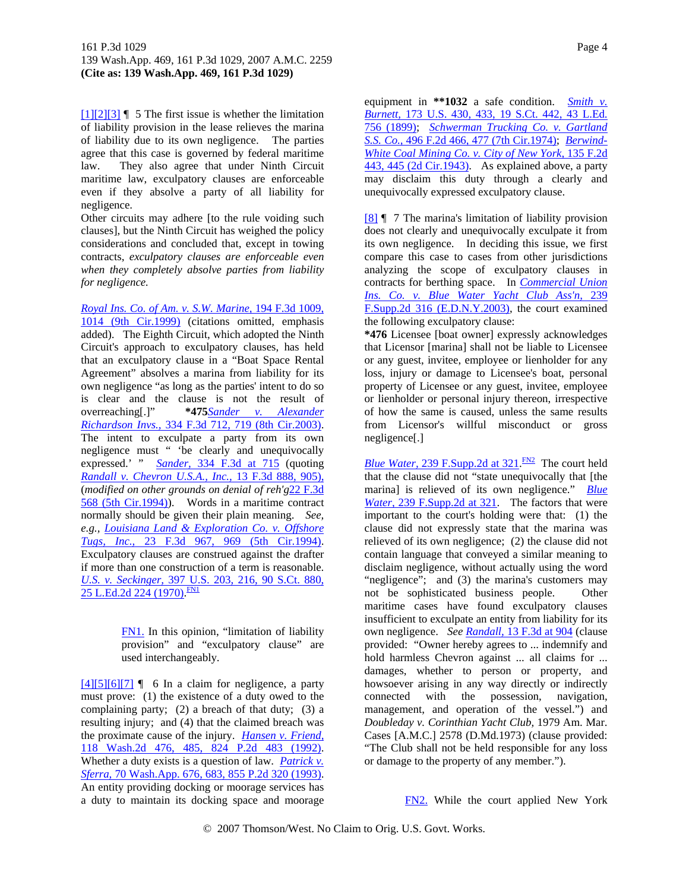$[1][2][3]$  | 5 The first issue is whether the limitation of liability provision in the lease relieves the marina of liability due to its own negligence. The parties agree that this case is governed by federal maritime law. They also agree that under Ninth Circuit maritime law, exculpatory clauses are enforceable even if they absolve a party of all liability for negligence.

Other circuits may adhere [to the rule voiding such clauses], but the Ninth Circuit has weighed the policy considerations and concluded that, except in towing contracts, *exculpatory clauses are enforceable even when they completely absolve parties from liability for negligence.*

*Royal Ins. Co. of Am. v. S.W. Marine,* 194 F.3d 1009, 1014 (9th Cir.1999) (citations omitted, emphasis added). The Eighth Circuit, which adopted the Ninth Circuit's approach to exculpatory clauses, has held that an exculpatory clause in a "Boat Space Rental Agreement" absolves a marina from liability for its own negligence "as long as the parties' intent to do so is clear and the clause is not the result of overreaching[.]" **\*475***Sander v. Alexander Richardson Invs.,* 334 F.3d 712, 719 (8th Cir.2003). The intent to exculpate a party from its own negligence must " 'be clearly and unequivocally expressed.' " *Sander,* 334 F.3d at 715 (quoting *Randall v. Chevron U.S.A., Inc.,* 13 F.3d 888, 905), (*modified on other grounds on denial of reh'g*22 F.3d 568 (5th Cir.1994)). Words in a maritime contract normally should be given their plain meaning. *See, e.g., Louisiana Land & Exploration Co. v. Offshore Tugs, Inc.,* 23 F.3d 967, 969 (5th Cir.1994). Exculpatory clauses are construed against the drafter if more than one construction of a term is reasonable. *U.S. v. Seckinger,* 397 U.S. 203, 216, 90 S.Ct. 880, 25 L.Ed.2d 224 (1970).<sup>FN1</sup>

> FN1. In this opinion, "limitation of liability provision" and "exculpatory clause" are used interchangeably.

 $[4][5][6][7]$  | 6 In a claim for negligence, a party must prove: (1) the existence of a duty owed to the complaining party; (2) a breach of that duty; (3) a resulting injury; and (4) that the claimed breach was the proximate cause of the injury. *Hansen v. Friend,* 118 Wash.2d 476, 485, 824 P.2d 483 (1992). Whether a duty exists is a question of law. *Patrick v. Sferra,* 70 Wash.App. 676, 683, 855 P.2d 320 (1993). An entity providing docking or moorage services has a duty to maintain its docking space and moorage

equipment in **\*\*1032** a safe condition. *Smith v. Burnett,* 173 U.S. 430, 433, 19 S.Ct. 442, 43 L.Ed. 756 (1899); *Schwerman Trucking Co. v. Gartland S.S. Co.,* 496 F.2d 466, 477 (7th Cir.1974); *Berwind-White Coal Mining Co. v. City of New York,* 135 F.2d 443, 445 (2d Cir.1943). As explained above, a party may disclaim this duty through a clearly and unequivocally expressed exculpatory clause.

[8] ¶ 7 The marina's limitation of liability provision does not clearly and unequivocally exculpate it from its own negligence. In deciding this issue, we first compare this case to cases from other jurisdictions analyzing the scope of exculpatory clauses in contracts for berthing space. In *Commercial Union Ins. Co. v. Blue Water Yacht Club Ass'n,* 239 F.Supp.2d 316 (E.D.N.Y.2003), the court examined the following exculpatory clause:

**\*476** Licensee [boat owner] expressly acknowledges that Licensor [marina] shall not be liable to Licensee or any guest, invitee, employee or lienholder for any loss, injury or damage to Licensee's boat, personal property of Licensee or any guest, invitee, employee or lienholder or personal injury thereon, irrespective of how the same is caused, unless the same results from Licensor's willful misconduct or gross negligence[.]

*Blue Water,* 239 F.Supp.2d at  $321$ <sup>FN2</sup> The court held that the clause did not "state unequivocally that [the marina] is relieved of its own negligence." *Blue Water,* 239 F.Supp.2d at 321. The factors that were important to the court's holding were that: (1) the clause did not expressly state that the marina was relieved of its own negligence; (2) the clause did not contain language that conveyed a similar meaning to disclaim negligence, without actually using the word "negligence"; and (3) the marina's customers may not be sophisticated business people. Other maritime cases have found exculpatory clauses insufficient to exculpate an entity from liability for its own negligence. *See Randall,* 13 F.3d at 904 (clause provided: "Owner hereby agrees to ... indemnify and hold harmless Chevron against ... all claims for ... damages, whether to person or property, and howsoever arising in any way directly or indirectly connected with the possession, navigation, management, and operation of the vessel.") and *Doubleday v. Corinthian Yacht Club,* 1979 Am. Mar. Cases [A.M.C.] 2578 (D.Md.1973) (clause provided: "The Club shall not be held responsible for any loss or damage to the property of any member.").

FN2. While the court applied New York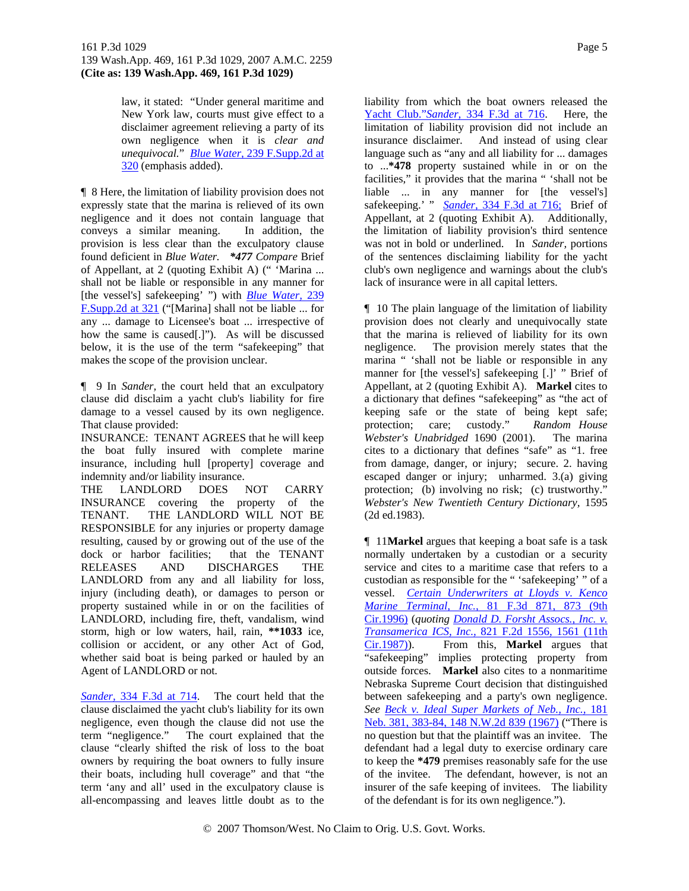law, it stated: "Under general maritime and New York law, courts must give effect to a disclaimer agreement relieving a party of its own negligence when it is *clear and unequivocal.*" *Blue Water,* 239 F.Supp.2d at 320 (emphasis added).

¶ 8 Here, the limitation of liability provision does not expressly state that the marina is relieved of its own negligence and it does not contain language that conveys a similar meaning. In addition, the provision is less clear than the exculpatory clause found deficient in *Blue Water. \*477 Compare* Brief of Appellant, at 2 (quoting Exhibit A) (" 'Marina ... shall not be liable or responsible in any manner for [the vessel's] safekeeping' ") with *Blue Water,* 239 F.Supp.2d at 321 ("[Marina] shall not be liable ... for any ... damage to Licensee's boat ... irrespective of how the same is caused[.]"). As will be discussed below, it is the use of the term "safekeeping" that makes the scope of the provision unclear.

¶ 9 In *Sander,* the court held that an exculpatory clause did disclaim a yacht club's liability for fire damage to a vessel caused by its own negligence. That clause provided:

INSURANCE: TENANT AGREES that he will keep the boat fully insured with complete marine insurance, including hull [property] coverage and indemnity and/or liability insurance.

THE LANDLORD DOES NOT CARRY INSURANCE covering the property of the TENANT. THE LANDLORD WILL NOT BE RESPONSIBLE for any injuries or property damage resulting, caused by or growing out of the use of the dock or harbor facilities; that the TENANT RELEASES AND DISCHARGES THE LANDLORD from any and all liability for loss, injury (including death), or damages to person or property sustained while in or on the facilities of LANDLORD, including fire, theft, vandalism, wind storm, high or low waters, hail, rain, **\*\*1033** ice, collision or accident, or any other Act of God, whether said boat is being parked or hauled by an Agent of LANDLORD or not.

*Sander,* 334 F.3d at 714. The court held that the clause disclaimed the yacht club's liability for its own negligence, even though the clause did not use the term "negligence." The court explained that the clause "clearly shifted the risk of loss to the boat owners by requiring the boat owners to fully insure their boats, including hull coverage" and that "the term 'any and all' used in the exculpatory clause is all-encompassing and leaves little doubt as to the

Yacht Club."*Sander,* 334 F.3d at 716. Here, the limitation of liability provision did not include an insurance disclaimer. And instead of using clear language such as "any and all liability for ... damages to ...**\*478** property sustained while in or on the facilities," it provides that the marina " 'shall not be liable ... in any manner for [the vessel's] safekeeping.' " *Sander,* 334 F.3d at 716; Brief of Appellant, at 2 (quoting Exhibit A). Additionally, the limitation of liability provision's third sentence was not in bold or underlined. In *Sander,* portions of the sentences disclaiming liability for the yacht club's own negligence and warnings about the club's lack of insurance were in all capital letters.

¶ 10 The plain language of the limitation of liability provision does not clearly and unequivocally state that the marina is relieved of liability for its own negligence. The provision merely states that the marina " 'shall not be liable or responsible in any manner for [the vessel's] safekeeping [.]' " Brief of Appellant, at 2 (quoting Exhibit A). **Markel** cites to a dictionary that defines "safekeeping" as "the act of keeping safe or the state of being kept safe; protection; care; custody." *Random House Webster's Unabridged* 1690 (2001). The marina cites to a dictionary that defines "safe" as "1. free from damage, danger, or injury; secure. 2. having escaped danger or injury; unharmed. 3.(a) giving protection; (b) involving no risk; (c) trustworthy." *Webster's New Twentieth Century Dictionary,* 1595 (2d ed.1983).

¶ 11**Markel** argues that keeping a boat safe is a task normally undertaken by a custodian or a security service and cites to a maritime case that refers to a custodian as responsible for the " 'safekeeping' " of a vessel. *Certain Underwriters at Lloyds v. Kenco Marine Terminal, Inc.,* 81 F.3d 871, 873 (9th Cir.1996) (*quoting Donald D. Forsht Assocs., Inc. v. Transamerica ICS, Inc.,* 821 F.2d 1556, 1561 (11th Cir.1987)). From this, **Markel** argues that "safekeeping" implies protecting property from outside forces. **Markel** also cites to a nonmaritime Nebraska Supreme Court decision that distinguished between safekeeping and a party's own negligence. *See Beck v. Ideal Super Markets of Neb., Inc.,* 181 Neb. 381, 383-84, 148 N.W.2d 839 (1967) ("There is no question but that the plaintiff was an invitee. The defendant had a legal duty to exercise ordinary care to keep the **\*479** premises reasonably safe for the use of the invitee. The defendant, however, is not an insurer of the safe keeping of invitees. The liability of the defendant is for its own negligence.").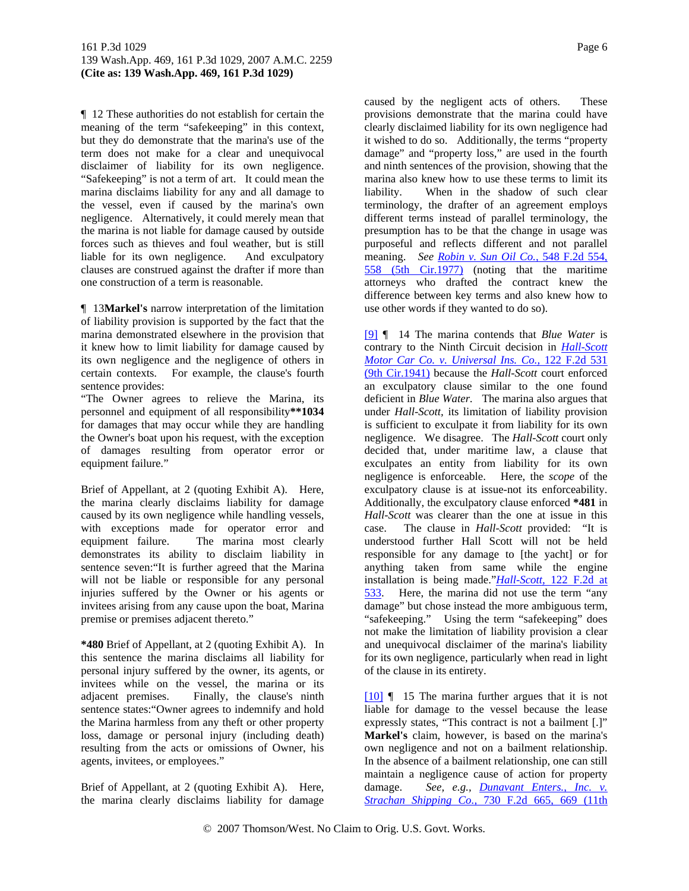¶ 12 These authorities do not establish for certain the meaning of the term "safekeeping" in this context, but they do demonstrate that the marina's use of the term does not make for a clear and unequivocal disclaimer of liability for its own negligence. "Safekeeping" is not a term of art. It could mean the marina disclaims liability for any and all damage to the vessel, even if caused by the marina's own negligence. Alternatively, it could merely mean that the marina is not liable for damage caused by outside forces such as thieves and foul weather, but is still liable for its own negligence. And exculpatory clauses are construed against the drafter if more than one construction of a term is reasonable.

¶ 13**Markel's** narrow interpretation of the limitation of liability provision is supported by the fact that the marina demonstrated elsewhere in the provision that it knew how to limit liability for damage caused by its own negligence and the negligence of others in certain contexts. For example, the clause's fourth sentence provides:

"The Owner agrees to relieve the Marina, its personnel and equipment of all responsibility**\*\*1034** for damages that may occur while they are handling the Owner's boat upon his request, with the exception of damages resulting from operator error or equipment failure."

Brief of Appellant, at 2 (quoting Exhibit A). Here, the marina clearly disclaims liability for damage caused by its own negligence while handling vessels, with exceptions made for operator error and equipment failure. The marina most clearly demonstrates its ability to disclaim liability in sentence seven:"It is further agreed that the Marina will not be liable or responsible for any personal injuries suffered by the Owner or his agents or invitees arising from any cause upon the boat, Marina premise or premises adjacent thereto."

**\*480** Brief of Appellant, at 2 (quoting Exhibit A). In this sentence the marina disclaims all liability for personal injury suffered by the owner, its agents, or invitees while on the vessel, the marina or its adjacent premises. Finally, the clause's ninth sentence states:"Owner agrees to indemnify and hold the Marina harmless from any theft or other property loss, damage or personal injury (including death) resulting from the acts or omissions of Owner, his agents, invitees, or employees."

Brief of Appellant, at 2 (quoting Exhibit A). Here, the marina clearly disclaims liability for damage

caused by the negligent acts of others. These provisions demonstrate that the marina could have clearly disclaimed liability for its own negligence had it wished to do so. Additionally, the terms "property damage" and "property loss," are used in the fourth and ninth sentences of the provision, showing that the marina also knew how to use these terms to limit its liability. When in the shadow of such clear terminology, the drafter of an agreement employs different terms instead of parallel terminology, the presumption has to be that the change in usage was purposeful and reflects different and not parallel meaning. *See Robin v. Sun Oil Co.,* 548 F.2d 554, 558 (5th Cir.1977) (noting that the maritime attorneys who drafted the contract knew the difference between key terms and also knew how to use other words if they wanted to do so).

[9] ¶ 14 The marina contends that *Blue Water* is contrary to the Ninth Circuit decision in *Hall-Scott Motor Car Co. v. Universal Ins. Co.,* 122 F.2d 531 (9th Cir.1941) because the *Hall-Scott* court enforced an exculpatory clause similar to the one found deficient in *Blue Water.* The marina also argues that under *Hall-Scott,* its limitation of liability provision is sufficient to exculpate it from liability for its own negligence. We disagree. The *Hall-Scott* court only decided that, under maritime law, a clause that exculpates an entity from liability for its own negligence is enforceable. Here, the *scope* of the exculpatory clause is at issue-not its enforceability. Additionally, the exculpatory clause enforced **\*481** in *Hall-Scott* was clearer than the one at issue in this case. The clause in *Hall-Scott* provided: "It is understood further Hall Scott will not be held responsible for any damage to [the yacht] or for anything taken from same while the engine installation is being made."*Hall-Scott,* 122 F.2d at 533. Here, the marina did not use the term "any damage" but chose instead the more ambiguous term, "safekeeping." Using the term "safekeeping" does not make the limitation of liability provision a clear and unequivocal disclaimer of the marina's liability for its own negligence, particularly when read in light of the clause in its entirety.

[10] ¶ 15 The marina further argues that it is not liable for damage to the vessel because the lease expressly states, "This contract is not a bailment [.]" **Markel's** claim, however, is based on the marina's own negligence and not on a bailment relationship. In the absence of a bailment relationship, one can still maintain a negligence cause of action for property damage. *See, e.g., Dunavant Enters., Inc. v. Strachan Shipping Co.,* 730 F.2d 665, 669 (11th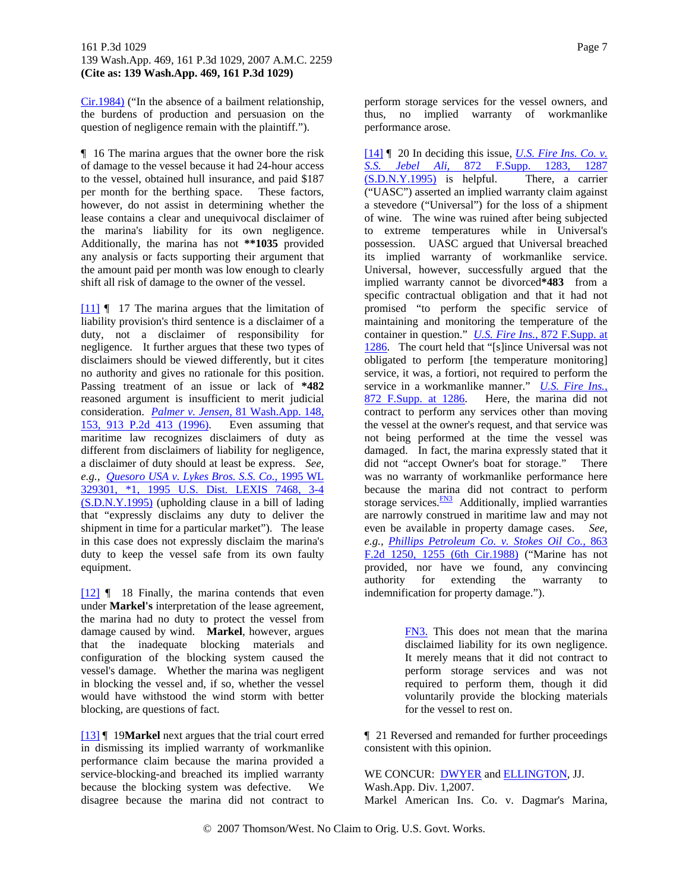Cir.1984) ("In the absence of a bailment relationship, the burdens of production and persuasion on the question of negligence remain with the plaintiff.").

¶ 16 The marina argues that the owner bore the risk of damage to the vessel because it had 24-hour access to the vessel, obtained hull insurance, and paid \$187 per month for the berthing space. These factors, however, do not assist in determining whether the lease contains a clear and unequivocal disclaimer of the marina's liability for its own negligence. Additionally, the marina has not **\*\*1035** provided any analysis or facts supporting their argument that the amount paid per month was low enough to clearly shift all risk of damage to the owner of the vessel.

[11] ¶ 17 The marina argues that the limitation of liability provision's third sentence is a disclaimer of a duty, not a disclaimer of responsibility for negligence. It further argues that these two types of disclaimers should be viewed differently, but it cites no authority and gives no rationale for this position. Passing treatment of an issue or lack of **\*482** reasoned argument is insufficient to merit judicial consideration. *Palmer v. Jensen,* 81 Wash.App. 148, 153, 913 P.2d 413 (1996). Even assuming that maritime law recognizes disclaimers of duty as different from disclaimers of liability for negligence, a disclaimer of duty should at least be express. *See, e.g., Quesoro USA v. Lykes Bros. S.S. Co.,* 1995 WL 329301, \*1, 1995 U.S. Dist. LEXIS 7468, 3-4 (S.D.N.Y.1995) (upholding clause in a bill of lading that "expressly disclaims any duty to deliver the shipment in time for a particular market"). The lease in this case does not expressly disclaim the marina's duty to keep the vessel safe from its own faulty equipment.

[12] ¶ 18 Finally, the marina contends that even under **Markel's** interpretation of the lease agreement, the marina had no duty to protect the vessel from damage caused by wind. **Markel**, however, argues that the inadequate blocking materials and configuration of the blocking system caused the vessel's damage. Whether the marina was negligent in blocking the vessel and, if so, whether the vessel would have withstood the wind storm with better blocking, are questions of fact.

[13] ¶ 19**Markel** next argues that the trial court erred in dismissing its implied warranty of workmanlike performance claim because the marina provided a service-blocking-and breached its implied warranty because the blocking system was defective. We disagree because the marina did not contract to

perform storage services for the vessel owners, and thus, no implied warranty of workmanlike performance arose.

[14] ¶ 20 In deciding this issue, *U.S. Fire Ins. Co. v. S.S. Jebel Ali,* 872 F.Supp. 1283, 1287 (S.D.N.Y.1995) is helpful. There, a carrier ("UASC") asserted an implied warranty claim against a stevedore ("Universal") for the loss of a shipment of wine. The wine was ruined after being subjected to extreme temperatures while in Universal's possession. UASC argued that Universal breached its implied warranty of workmanlike service. Universal, however, successfully argued that the implied warranty cannot be divorced**\*483** from a specific contractual obligation and that it had not promised "to perform the specific service of maintaining and monitoring the temperature of the container in question." *U.S. Fire Ins.,* 872 F.Supp. at 1286. The court held that "[s]ince Universal was not obligated to perform [the temperature monitoring] service, it was, a fortiori, not required to perform the service in a workmanlike manner." *U.S. Fire Ins.,* 872 F.Supp. at 1286. Here, the marina did not contract to perform any services other than moving the vessel at the owner's request, and that service was not being performed at the time the vessel was damaged. In fact, the marina expressly stated that it did not "accept Owner's boat for storage." There was no warranty of workmanlike performance here because the marina did not contract to perform storage services. $\frac{FN3}{FN3}$  Additionally, implied warranties are narrowly construed in maritime law and may not even be available in property damage cases. *See, e.g., Phillips Petroleum Co. v. Stokes Oil Co.,* 863 F.2d 1250, 1255 (6th Cir.1988) ("Marine has not provided, nor have we found, any convincing authority for extending the warranty to indemnification for property damage.").

> FN3. This does not mean that the marina disclaimed liability for its own negligence. It merely means that it did not contract to perform storage services and was not required to perform them, though it did voluntarily provide the blocking materials for the vessel to rest on.

¶ 21 Reversed and remanded for further proceedings consistent with this opinion.

WE CONCUR: **DWYER** and **ELLINGTON**, JJ. Wash.App. Div. 1,2007. Markel American Ins. Co. v. Dagmar's Marina,